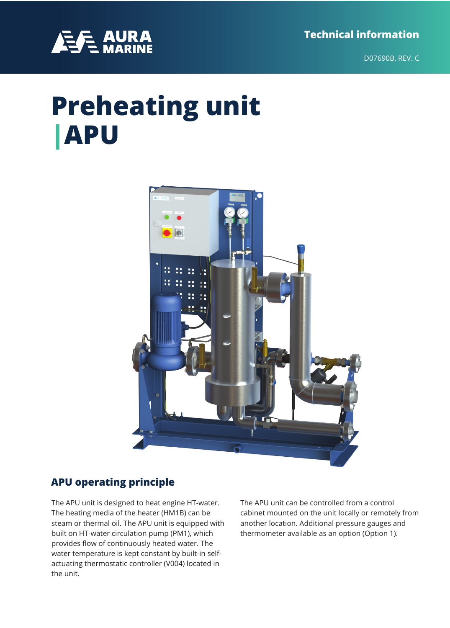**Technical information**



D07690B, REV. C

# **Preheating unit |APU**



#### **APU operating principle**

The APU unit is designed to heat engine HT-water. The heating media of the heater (HM1B) can be steam or thermal oil. The APU unit is equipped with built on HT-water circulation pump (PM1), which provides flow of continuously heated water. The water temperature is kept constant by built-in selfactuating thermostatic controller (V004) located in the unit.

The APU unit can be controlled from a control cabinet mounted on the unit locally or remotely from another location. Additional pressure gauges and thermometer available as an option (Option 1).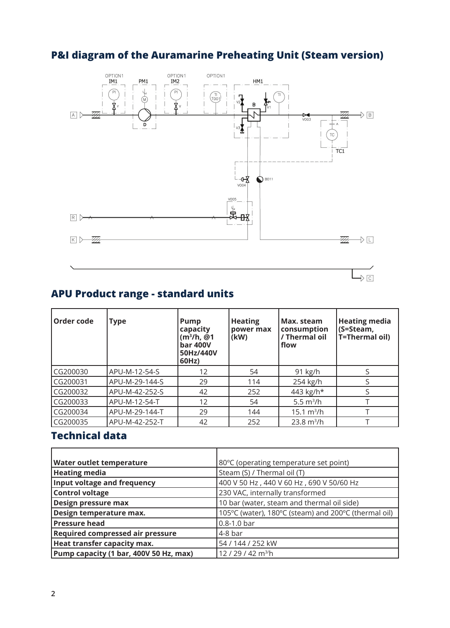## **P&I diagram of the Auramarine Preheating Unit (Steam version)**



### **APU Product range - standard units**

| Order code | <b>Type</b>    | Pump<br>capacity<br>$(m^3/h, @1$<br><b>bar 400V</b><br>50Hz/440V<br>60Hz) | <b>Heating</b><br>power max<br>(kW) | Max. steam<br>consumption<br>/ Thermal oil<br>flow | <b>Heating media</b><br>(S=Steam,<br>T=Thermal oil) |
|------------|----------------|---------------------------------------------------------------------------|-------------------------------------|----------------------------------------------------|-----------------------------------------------------|
| CG200030   | APU-M-12-54-S  | 12                                                                        | 54                                  | $91$ kg/h                                          |                                                     |
| CG200031   | APU-M-29-144-S | 29                                                                        | 114                                 | 254 kg/h                                           |                                                     |
| CG200032   | APU-M-42-252-S | 42                                                                        | 252                                 | 443 kg/h*                                          |                                                     |
| CG200033   | APU-M-12-54-T  | 12                                                                        | 54                                  | 5.5 $m^3/h$                                        |                                                     |
| CG200034   | APU-M-29-144-T | 29                                                                        | 144                                 | $15.1 \text{ m}^3/h$                               |                                                     |
| CG200035   | APU-M-42-252-T | 42                                                                        | 252                                 | $23.8 \text{ m}^3/h$                               |                                                     |

#### **Technical data**

| Water outlet temperature               | 80°C (operating temperature set point)               |  |  |  |
|----------------------------------------|------------------------------------------------------|--|--|--|
| <b>Heating media</b>                   | Steam (S) / Thermal oil (T)                          |  |  |  |
| Input voltage and frequency            | 400 V 50 Hz, 440 V 60 Hz, 690 V 50/60 Hz             |  |  |  |
| <b>Control voltage</b>                 | 230 VAC, internally transformed                      |  |  |  |
| Design pressure max                    | 10 bar (water, steam and thermal oil side)           |  |  |  |
| Design temperature max.                | 105°C (water), 180°C (steam) and 200°C (thermal oil) |  |  |  |
| <b>Pressure head</b>                   | $0.8 - 1.0$ bar                                      |  |  |  |
| Required compressed air pressure       | $4-8$ bar                                            |  |  |  |
| Heat transfer capacity max.            | 54 / 144 / 252 kW                                    |  |  |  |
| Pump capacity (1 bar, 400V 50 Hz, max) | 12/29/42 m <sup>3/</sup> h                           |  |  |  |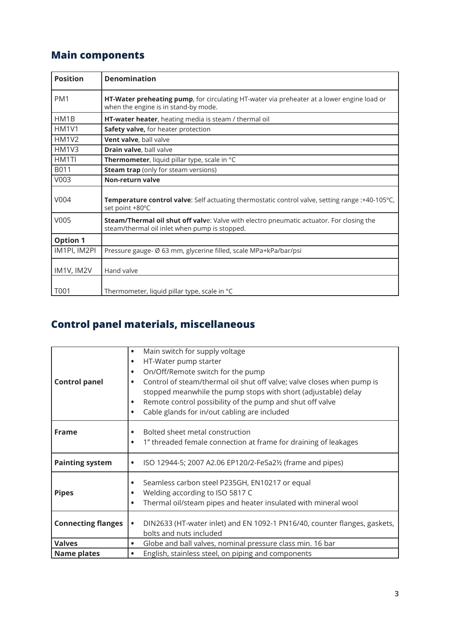## **Main components**

| <b>Position</b>                | <b>Denomination</b>                                                                                                                       |  |  |  |  |
|--------------------------------|-------------------------------------------------------------------------------------------------------------------------------------------|--|--|--|--|
| PM <sub>1</sub>                | HT-Water preheating pump, for circulating HT-water via preheater at a lower engine load or<br>when the engine is in stand-by mode.        |  |  |  |  |
| HM1B                           | HT-water heater, heating media is steam / thermal oil                                                                                     |  |  |  |  |
| HM <sub>1</sub> V <sub>1</sub> | Safety valve, for heater protection                                                                                                       |  |  |  |  |
| <b>HM1V2</b>                   | Vent valve, ball valve                                                                                                                    |  |  |  |  |
| HM1V3                          | Drain valve, ball valve                                                                                                                   |  |  |  |  |
| HM1TI                          | Thermometer, liquid pillar type, scale in °C                                                                                              |  |  |  |  |
| B011                           | <b>Steam trap</b> (only for steam versions)                                                                                               |  |  |  |  |
| V003                           | Non-return valve                                                                                                                          |  |  |  |  |
| V004                           | Temperature control valve: Self actuating thermostatic control valve, setting range :+40-105°C,<br>set point +80°C                        |  |  |  |  |
| V005                           | Steam/Thermal oil shut off valve: Valve with electro pneumatic actuator. For closing the<br>steam/thermal oil inlet when pump is stopped. |  |  |  |  |
| <b>Option 1</b>                |                                                                                                                                           |  |  |  |  |
| IM1PI, IM2PI                   | Pressure gauge- Ø 63 mm, glycerine filled, scale MPa+kPa/bar/psi                                                                          |  |  |  |  |
| IM1V, IM2V                     | Hand valve                                                                                                                                |  |  |  |  |
| T001                           | Thermometer, liquid pillar type, scale in °C                                                                                              |  |  |  |  |

## **Control panel materials, miscellaneous**

|                           | Main switch for supply voltage<br>$\bullet$                                            |
|---------------------------|----------------------------------------------------------------------------------------|
|                           | HT-Water pump starter<br>$\bullet$                                                     |
|                           | On/Off/Remote switch for the pump<br>$\bullet$                                         |
| <b>Control panel</b>      | Control of steam/thermal oil shut off valve; valve closes when pump is<br>$\bullet$    |
|                           | stopped meanwhile the pump stops with short (adjustable) delay                         |
|                           | Remote control possibility of the pump and shut off valve<br>$\bullet$                 |
|                           | Cable glands for in/out cabling are included<br>$\bullet$                              |
|                           |                                                                                        |
| <b>Frame</b>              | Bolted sheet metal construction<br>$\bullet$                                           |
|                           | 1" threaded female connection at frame for draining of leakages<br>$\bullet$           |
|                           |                                                                                        |
| <b>Painting system</b>    | ISO 12944-5; 2007 A2.06 EP120/2-FeSa2½ (frame and pipes)<br>$\bullet$                  |
|                           |                                                                                        |
|                           | Seamless carbon steel P235GH, EN10217 or equal<br>$\bullet$                            |
| <b>Pipes</b>              | Welding according to ISO 5817 C                                                        |
|                           | Thermal oil/steam pipes and heater insulated with mineral wool<br>$\bullet$            |
|                           |                                                                                        |
| <b>Connecting flanges</b> | DIN2633 (HT-water inlet) and EN 1092-1 PN16/40, counter flanges, gaskets,<br>$\bullet$ |
|                           | bolts and nuts included                                                                |
| <b>Valves</b>             | Globe and ball valves, nominal pressure class min. 16 bar<br>$\bullet$                 |
| <b>Name plates</b>        | English, stainless steel, on piping and components<br>$\bullet$                        |